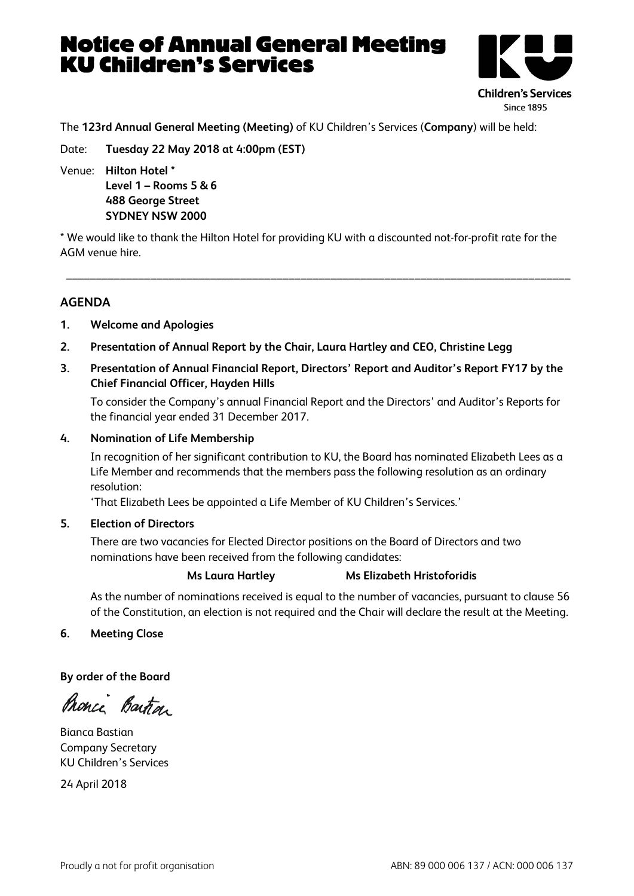# Notice of Annual General Meeting KU Children's Services



The **123rd Annual General Meeting (Meeting)** of KU Children's Services (**Company**) will be held:

Date: **Tuesday 22 May 2018 at 4:00pm (EST)**

Venue: **Hilton Hotel \* Level 1 – Rooms 5 & 6 488 George Street SYDNEY NSW 2000**

\* We would like to thank the Hilton Hotel for providing KU with a discounted not-for-profit rate for the AGM venue hire.

\_\_\_\_\_\_\_\_\_\_\_\_\_\_\_\_\_\_\_\_\_\_\_\_\_\_\_\_\_\_\_\_\_\_\_\_\_\_\_\_\_\_\_\_\_\_\_\_\_\_\_\_\_\_\_\_\_\_\_\_\_\_\_\_\_\_\_\_\_\_\_\_\_\_\_\_\_\_\_\_\_\_\_\_

# **AGENDA**

- **1. Welcome and Apologies**
- **2. Presentation of Annual Report by the Chair, Laura Hartley and CEO, Christine Legg**
- **3. Presentation of Annual Financial Report, Directors' Report and Auditor's Report FY17 by the Chief Financial Officer, Hayden Hills**

To consider the Company's annual Financial Report and the Directors' and Auditor's Reports for the financial year ended 31 December 2017.

### **4. Nomination of Life Membership**

In recognition of her significant contribution to KU, the Board has nominated Elizabeth Lees as a Life Member and recommends that the members pass the following resolution as an ordinary resolution:

'That Elizabeth Lees be appointed a Life Member of KU Children's Services.'

**5. Election of Directors**

There are two vacancies for Elected Director positions on the Board of Directors and two nominations have been received from the following candidates:

#### **Ms Laura Hartley Ms Elizabeth Hristoforidis**

As the number of nominations received is equal to the number of vacancies, pursuant to clause 56 of the Constitution, an election is not required and the Chair will declare the result at the Meeting.

**6. Meeting Close**

**By order of the Board**

Pronce Bartra

Bianca Bastian Company Secretary KU Children's Services

24 April 2018